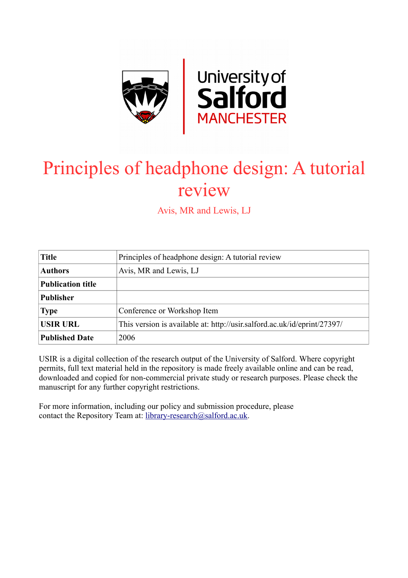

# Principles of headphone design: A tutorial review

Avis, MR and Lewis, LJ

| <b>Title</b>             | Principles of headphone design: A tutorial review                        |  |
|--------------------------|--------------------------------------------------------------------------|--|
| <b>Authors</b>           | Avis, MR and Lewis, LJ                                                   |  |
| <b>Publication title</b> |                                                                          |  |
| <b>Publisher</b>         |                                                                          |  |
| <b>Type</b>              | Conference or Workshop Item                                              |  |
| <b>USIR URL</b>          | This version is available at: http://usir.salford.ac.uk/id/eprint/27397/ |  |
| <b>Published Date</b>    | 2006                                                                     |  |

USIR is a digital collection of the research output of the University of Salford. Where copyright permits, full text material held in the repository is made freely available online and can be read, downloaded and copied for non-commercial private study or research purposes. Please check the manuscript for any further copyright restrictions.

For more information, including our policy and submission procedure, please contact the Repository Team at: [library-research@salford.ac.uk.](mailto:library-research@salford.ac.uk)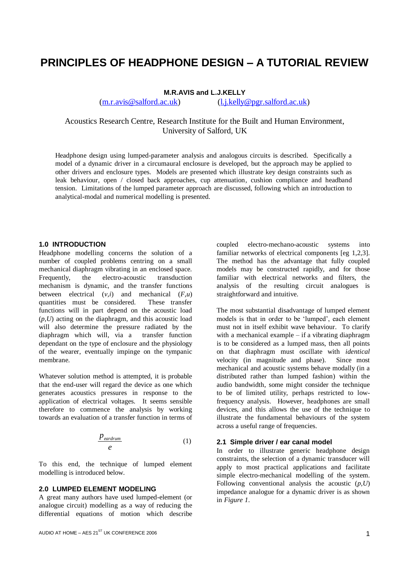# **PRINCIPLES OF HEADPHONE DESIGN – A TUTORIAL REVIEW**

**M.R.AVIS and L.J.KELLY**

[\(m.r.avis@salford.ac.uk\)](mailto:m.r.avis@salford.ac.uk) [\(l.j.kelly@pgr.salford.ac.uk\)](mailto:l.j.kelly@pgr.salford.ac.uk)

Acoustics Research Centre, Research Institute for the Built and Human Environment, University of Salford, UK

Headphone design using lumped-parameter analysis and analogous circuits is described. Specifically a model of a dynamic driver in a circumaural enclosure is developed, but the approach may be applied to other drivers and enclosure types. Models are presented which illustrate key design constraints such as leak behaviour, open / closed back approaches, cup attenuation, cushion compliance and headband tension. Limitations of the lumped parameter approach are discussed, following which an introduction to analytical-modal and numerical modelling is presented.

# **1.0 INTRODUCTION**

Headphone modelling concerns the solution of a number of coupled problems centring on a small mechanical diaphragm vibrating in an enclosed space. Frequently, the electro-acoustic transduction mechanism is dynamic, and the transfer functions between electrical (*v,i*) and mechanical (*F,u*) quantities must be considered. These transfer functions will in part depend on the acoustic load (*p,U*) acting on the diaphragm, and this acoustic load will also determine the pressure radiated by the diaphragm which will, via a transfer function dependant on the type of enclosure and the physiology of the wearer, eventually impinge on the tympanic membrane.

Whatever solution method is attempted, it is probable that the end-user will regard the device as one which generates acoustics pressures in response to the application of electrical voltages. It seems sensible therefore to commence the analysis by working towards an evaluation of a transfer function in terms of

$$
\frac{P_{\text{eardrum}}}{e} \tag{1}
$$

To this end, the technique of lumped element modelling is introduced below.

#### **2.0 LUMPED ELEMENT MODELING**

A great many authors have used lumped-element (or analogue circuit) modelling as a way of reducing the differential equations of motion which describe coupled electro-mechano-acoustic systems into familiar networks of electrical components [eg 1,2,3]. The method has the advantage that fully coupled models may be constructed rapidly, and for those familiar with electrical networks and filters, the analysis of the resulting circuit analogues is straightforward and intuitive.

The most substantial disadvantage of lumped element models is that in order to be 'lumped', each element must not in itself exhibit wave behaviour. To clarify with a mechanical example – if a vibrating diaphragm is to be considered as a lumped mass, then all points on that diaphragm must oscillate with *identical* velocity (in magnitude and phase). Since most mechanical and acoustic systems behave modally (in a distributed rather than lumped fashion) within the audio bandwidth, some might consider the technique to be of limited utility, perhaps restricted to lowfrequency analysis. However, headphones are small devices, and this allows the use of the technique to illustrate the fundamental behaviours of the system across a useful range of frequencies.

# **2.1 Simple driver / ear canal model**

In order to illustrate generic headphone design constraints, the selection of a dynamic transducer will apply to most practical applications and facilitate simple electro-mechanical modelling of the system. Following conventional analysis the acoustic (*p,U*) impedance analogue for a dynamic driver is as shown in *Figure 1*.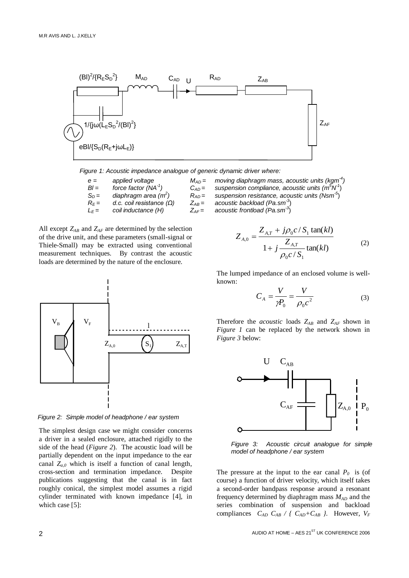

*Figure 1: Acoustic impedance analogue of generic dynamic driver where:*

| $e =$   | applied voltage                 | $M_{A}$                     |
|---------|---------------------------------|-----------------------------|
|         |                                 |                             |
| $B =$   | force factor $(NA^{-1})$        | $C_{Al}$                    |
| $S_0 =$ | diaphragm area $(m2)$           | $R_{Al}$                    |
| $R_F =$ | d.c. coil resistance $(\Omega)$ | $Z_{\mathsf{A} \mathsf{E}}$ |
| $L_F =$ | coil inductance (H)             | $Z_{AF}$                    |

All except  $Z_{AB}$  and  $Z_{AF}$  are determined by the selection of the drive unit, and these parameters (small-signal or Thiele-Small) may be extracted using conventional measurement techniques. By contrast the acoustic loads are determined by the nature of the enclosure.



*Figure 2: Simple model of headphone / ear system* 

The simplest design case we might consider concerns a driver in a sealed enclosure, attached rigidly to the side of the head (*Figure 2*). The acoustic load will be partially dependent on the input impedance to the ear canal  $Z_{a,0}$  which is itself a function of canal length, cross-section and termination impedance. Despite publications suggesting that the canal is in fact roughly conical, the simplest model assumes a rigid cylinder terminated with known impedance [4], in which case [5]:

*MAD = moving diaphragm mass, acoustic units (kgm-4 )*  $C_{AD}$  = *suspension compliance, acoustic units (m<sup>5</sup>N<sup>1</sup>) RAD = suspension resistance, acoustic units (Nsm-5* ) *ZAB = acoustic backload (Pa.sm-3* ) *ZAF = acoustic frontload (Pa.sm-3* )

$$
Z_{A,0} = \frac{Z_{A,T} + j\rho_0 c / S_1 \tan(kl)}{1 + j \frac{Z_{A,T}}{\rho_0 c / S_1} \tan(kl)}
$$
(2)

The lumped impedance of an enclosed volume is wellknown:

$$
C_A = \frac{V}{\gamma P_0} = \frac{V}{\rho_0 c^2} \tag{3}
$$

Therefore the *acoustic* loads  $Z_{AB}$  and  $Z_{AF}$  shown in *Figure 1* can be replaced by the network shown in *Figure 3* below:



*Figure 3: Acoustic circuit analogue for simple model of headphone / ear system*

The pressure at the input to the ear canal  $P_0$  is (of course) a function of driver velocity, which itself takes a second-order bandpass response around a resonant frequency determined by diaphragm mass *MAD* and the series combination of suspension and backload compliances  $C_{AD} C_{AB}$  / { $C_{AD} + C_{AB}$  }. However,  $V_F$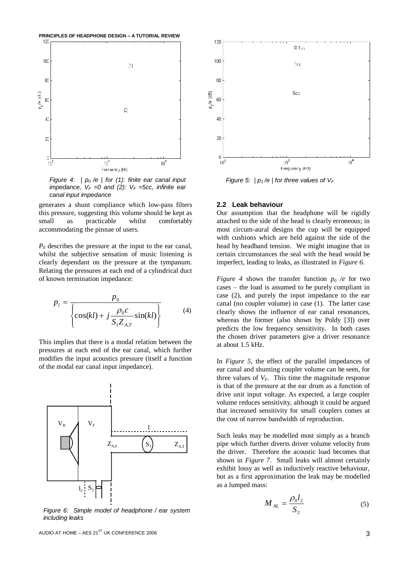**PRINCIPLES OF HEADPHONE DESIGN – A TUTORIAL REVIEW**



*Figure 4:* |  $p_0 / e$  | for (1): finite ear canal input Figure 5:  $|p_1 / e|$  for three values of  $V_F$ *impedance, V<sup>F</sup> =0 and (2): V<sup>F</sup> =5cc, infinite ear canal input impedance* 

generates a shunt compliance which low-pass filters this pressure, suggesting this volume should be kept as small as practicable whilst comfortably accommodating the pinnae of users.

*P<sup>0</sup>* describes the pressure at the input to the ear canal, whilst the subjective sensation of music listening is clearly dependant on the pressure at the tympanum. Relating the pressures at each end of a cylindrical duct of known termination impedance:

$$
p_{l} = \frac{p_{0}}{\left\{ \cos(kl) + j \frac{\rho_{0}c}{S_{1}Z_{A,T}} \sin(kl) \right\}}
$$
(4)

This implies that there is a modal relation between the pressures at each end of the ear canal, which further modifies the input acoustics pressure (itself a function of the modal ear canal input impedance).



*Figure 6: Simple model of headphone / ear system including leaks*



#### **2.2 Leak behaviour**

Our assumption that the headphone will be rigidly attached to the side of the head is clearly erroneous; in most circum-aural designs the cup will be equipped with cushions which are held against the side of the head by headband tension. We might imagine that in certain circumstances the seal with the head would be imperfect, leading to leaks, as illustrated in *Figure 6*.

*Figure 4* shows the transfer function  $p_0$  /e for two cases – the load is assumed to be purely compliant in case (2), and purely the input impedance to the ear canal (no coupler volume) in case (1). The latter case clearly shows the influence of ear canal resonances, whereas the former (also shown by Poldy [3]) over predicts the low frequency sensitivity. In both cases the chosen driver parameters give a driver resonance at about 1.5 kHz.

In *Figure 5,* the effect of the parallel impedances of ear canal and shunting coupler volume can be seen, for three values of  $V_F$ . This time the magnitude response is that of the pressure at the ear drum as a function of drive unit input voltage. As expected, a large coupler volume reduces sensitivity, although it could be argued that increased sensitivity for small couplers comes at the cost of narrow bandwidth of reproduction.

Such leaks may be modelled most simply as a branch pipe which further diverts driver volume velocity from the driver. Therefore the acoustic load becomes that shown in *Figure 7*. Small leaks will almost certainly exhibit lossy as well as inductively reactive behaviour, but as a first approximation the leak may be modelled as a lumped mass:

$$
M_{AL} = \frac{\rho_0 l_2}{S_2} \tag{5}
$$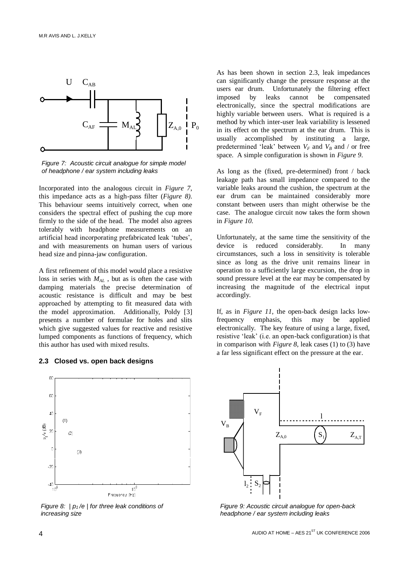

*Figure 7: Acoustic circuit analogue for simple model of headphone / ear system including leaks*

Incorporated into the analogous circuit in *Figure 7*, this impedance acts as a high-pass filter (*Figure 8)*. This behaviour seems intuitively correct, when one considers the spectral effect of pushing the cup more firmly to the side of the head. The model also agrees tolerably with headphone measurements on an artificial head incorporating prefabricated leak 'tubes', and with measurements on human users of various head size and pinna-jaw configuration.

A first refinement of this model would place a resistive loss in series with *MAL* , but as is often the case with damping materials the precise determination of acoustic resistance is difficult and may be best approached by attempting to fit measured data with the model approximation. Additionally, Poldy [3] presents a number of formulae for holes and slits which give suggested values for reactive and resistive lumped components as functions of frequency, which this author has used with mixed results.

# **2.3 Closed vs. open back designs**



*Figure 8: | p1 /e | for three leak conditions of increasing size*

As has been shown in section 2.3, leak impedances can significantly change the pressure response at the users ear drum. Unfortunately the filtering effect imposed by leaks cannot be compensated electronically, since the spectral modifications are highly variable between users. What is required is a method by which inter-user leak variability is lessened in its effect on the spectrum at the ear drum. This is usually accomplished by instituting a large, predetermined 'leak' between  $V_F$  and  $V_B$  and / or free space. A simple configuration is shown in *Figure 9*.

As long as the (fixed, pre-determined) front / back leakage path has small impedance compared to the variable leaks around the cushion, the spectrum at the ear drum can be maintained considerably more constant between users than might otherwise be the case. The analogue circuit now takes the form shown in *Figure 10.*

Unfortunately, at the same time the sensitivity of the device is reduced considerably. In many circumstances, such a loss in sensitivity is tolerable since as long as the drive unit remains linear in operation to a sufficiently large excursion, the drop in sound pressure level at the ear may be compensated by increasing the magnitude of the electrical input accordingly.

If, as in *Figure 11*, the open-back design lacks lowfrequency emphasis, this may be applied electronically. The key feature of using a large, fixed, resistive 'leak' (i.e. an open-back configuration) is that in comparison with *Figure 8*, leak cases (1) to (3) have a far less significant effect on the pressure at the ear.



*Figure 9: Acoustic circuit analogue for open-back headphone / ear system including leaks*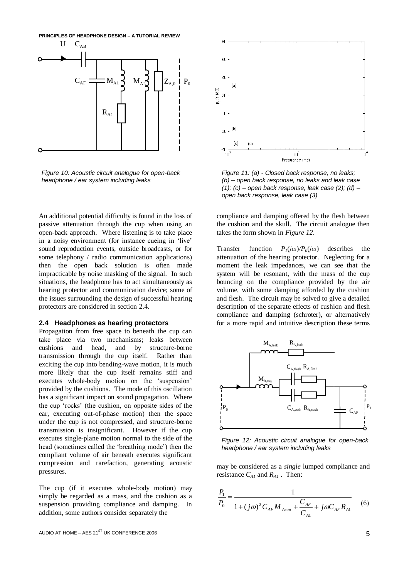**PRINCIPLES OF HEADPHONE DESIGN – A TUTORIAL REVIEW**



*Figure 10: Acoustic circuit analogue for open-back headphone / ear system including leaks*

An additional potential difficulty is found in the loss of passive attenuation through the cup when using an open-back approach. Where listening is to take place in a noisy environment (for instance cueing in 'live' sound reproduction events, outside broadcasts, or for some telephony / radio communication applications) then the open back solution is often made impracticable by noise masking of the signal. In such situations, the headphone has to act simultaneously as hearing protector and communication device; some of the issues surrounding the design of successful hearing protectors are considered in section 2.4.

#### **2.4 Headphones as hearing protectors**

Propagation from free space to beneath the cup can take place via two mechanisms; leaks between cushions and head, and by structure-borne transmission through the cup itself. Rather than exciting the cup into bending-wave motion, it is much more likely that the cup itself remains stiff and executes whole-body motion on the 'suspension' provided by the cushions. The mode of this oscillation has a significant impact on sound propagation. Where the cup 'rocks' (the cushion, on opposite sides of the ear, executing out-of-phase motion) then the space under the cup is not compressed, and structure-borne transmission is insignificant. However if the cup executes single-plane motion normal to the side of the head (sometimes called the 'breathing mode') then the compliant volume of air beneath executes significant compression and rarefaction, generating acoustic pressures.

The cup (if it executes whole-body motion) may simply be regarded as a mass, and the cushion as a suspension providing compliance and damping. In addition, some authors consider separately the



80

*Figure 11: (a) - Closed back response, no leaks; (b) – open back response, no leaks and leak case (1); (c) – open back response, leak case (2); (d) – open back response, leak case (3)* 

compliance and damping offered by the flesh between the cushion and the skull. The circuit analogue then takes the form shown in *Figure 12*.

Transfer function  $P_I(j\omega)/P_0(j\omega)$  describes the attenuation of the hearing protector. Neglecting for a moment the leak impedances, we can see that the system will be resonant, with the mass of the cup bouncing on the compliance provided by the air volume, with some damping afforded by the cushion and flesh. The circuit may be solved to give a detailed description of the separate effects of cushion and flesh compliance and damping (schroter), or alternatively for a more rapid and intuitive description these terms



*Figure 12: Acoustic circuit analogue for open-back headphone / ear system including leaks*

may be considered as a *single* lumped compliance and resistance  $C_{A1}$  and  $R_{A1}$ . Then:

$$
\frac{P_1}{P_0} = \frac{1}{1 + (j\omega)^2 C_{AF} M_{Acup} + \frac{C_{AF}}{C_{A1}} + j\omega C_{AF} R_{A1}} \tag{6}
$$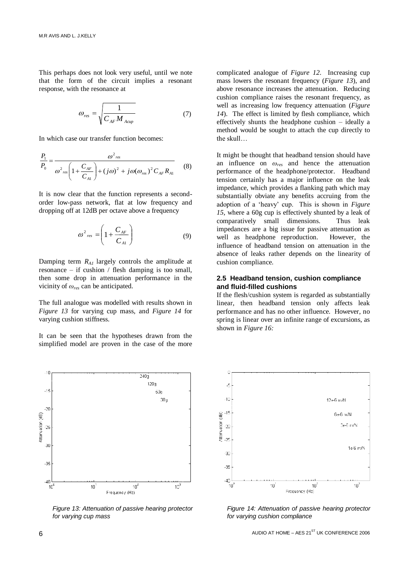This perhaps does not look very useful, until we note that the form of the circuit implies a resonant response, with the resonance at

$$
\omega_{res} = \sqrt{\frac{1}{C_{AF} M_{Acup}}}
$$
 (7)

In which case our transfer function becomes:

$$
\frac{P_1}{P_0} = \frac{\omega^2_{res}}{\omega^2_{res} \left(1 + \frac{C_{AF}}{C_{A1}}\right) + (j\omega)^2 + j\omega(\omega_{res})^2 C_{AF} R_{A1}} \tag{8}
$$

It is now clear that the function represents a secondorder low-pass network, flat at low frequency and dropping off at 12dB per octave above a frequency

$$
\omega^2_{res} = \left(1 + \frac{C_{AF}}{C_{A1}}\right) \tag{9}
$$

Damping term *RA1* largely controls the amplitude at resonance – if cushion / flesh damping is too small, then some drop in attenuation performance in the vicinity of *ωres* can be anticipated.

The full analogue was modelled with results shown in *Figure 13* for varying cup mass, and *Figure 14* for varying cushion stiffness.

It can be seen that the hypotheses drawn from the simplified model are proven in the case of the more



*Figure 13: Attenuation of passive hearing protector for varying cup mass*

complicated analogue of *Figure 12*. Increasing cup mass lowers the resonant frequency (*Figure 13*), and above resonance increases the attenuation. Reducing cushion compliance raises the resonant frequency, as well as increasing low frequency attenuation (*Figure 14*). The effect is limited by flesh compliance, which effectively shunts the headphone cushion – ideally a method would be sought to attach the cup directly to the skull…

It might be thought that headband tension should have an influence on *ωres* and hence the attenuation performance of the headphone/protector. Headband tension certainly has a major influence on the leak impedance, which provides a flanking path which may substantially obviate any benefits accruing from the adoption of a 'heavy' cup. This is shown in *Figure 15*, where a 60g cup is effectively shunted by a leak of comparatively small dimensions. Thus leak impedances are a big issue for passive attenuation as well as headphone reproduction. However, the influence of headband tension on attenuation in the absence of leaks rather depends on the linearity of cushion compliance.

#### **2.5 Headband tension, cushion compliance and fluid-filled cushions**

If the flesh/cushion system is regarded as substantially linear, then headband tension only affects leak performance and has no other influence. However, no spring is linear over an infinite range of excursions, as shown in *Figure 16:*



*Figure 14: Attenuation of passive hearing protector for varying cushion compliance*

 $6$  AUDIO AT HOME – AES 21<sup>ST</sup> UK CONFERENCE 2006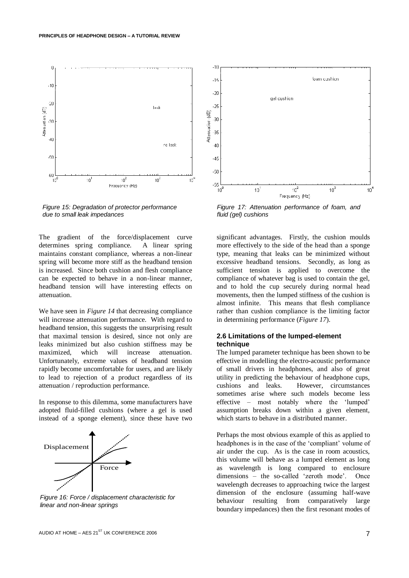

*Figure 15: Degradation of protector performance due to small leak impedances*

The gradient of the force/displacement curve determines spring compliance. A linear spring maintains constant compliance, whereas a non-linear spring will become more stiff as the headband tension is increased. Since both cushion and flesh compliance can be expected to behave in a non-linear manner, headband tension will have interesting effects on attenuation.

We have seen in *Figure 14* that decreasing compliance will increase attenuation performance. With regard to headband tension, this suggests the unsurprising result that maximal tension is desired, since not only are leaks minimized but also cushion stiffness may be maximized, which will increase attenuation. Unfortunately, extreme values of headband tension rapidly become uncomfortable for users, and are likely to lead to rejection of a product regardless of its attenuation / reproduction performance.

In response to this dilemma, some manufacturers have adopted fluid-filled cushions (where a gel is used instead of a sponge element), since these have two



*Figure 16: Force / displacement characteristic for linear and non-linear springs*



*Figure 17: Attenuation performance of foam, and fluid (gel) cushions*

significant advantages. Firstly, the cushion moulds more effectively to the side of the head than a sponge type, meaning that leaks can be minimized without excessive headband tensions. Secondly, as long as sufficient tension is applied to overcome the compliance of whatever bag is used to contain the gel, and to hold the cup securely during normal head movements, then the lumped stiffness of the cushion is almost infinite. This means that flesh compliance rather than cushion compliance is the limiting factor in determining performance (*Figure 17*).

# **2.6 Limitations of the lumped-element technique**

The lumped parameter technique has been shown to be effective in modelling the electro-acoustic performance of small drivers in headphones, and also of great utility in predicting the behaviour of headphone cups, cushions and leaks. However, circumstances sometimes arise where such models become less effective – most notably where the 'lumped' assumption breaks down within a given element, which starts to behave in a distributed manner.

Perhaps the most obvious example of this as applied to headphones is in the case of the 'compliant' volume of air under the cup. As is the case in room acoustics, this volume will behave as a lumped element as long as wavelength is long compared to enclosure dimensions – the so-called 'zeroth mode'. Once wavelength decreases to approaching twice the largest dimension of the enclosure (assuming half-wave behaviour resulting from comparatively large boundary impedances) then the first resonant modes of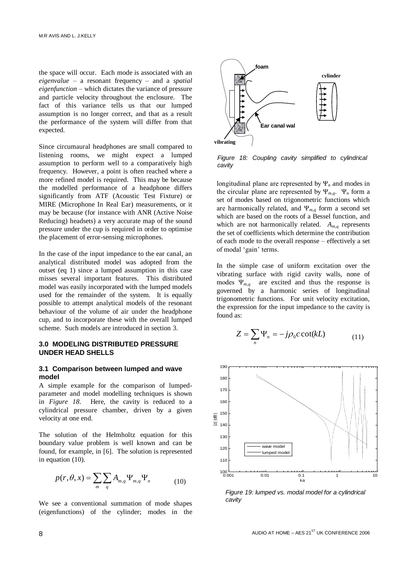the space will occur. Each mode is associated with an *eigenvalue* – a resonant frequency – and a *spatial eigenfunction* – which dictates the variance of pressure and particle velocity throughout the enclosure. The fact of this variance tells us that our lumped assumption is no longer correct, and that as a result the performance of the system will differ from that expected.

Since circumaural headphones are small compared to listening rooms, we might expect a lumped assumption to perform well to a comparatively high frequency. However, a point is often reached where a more refined model is required. This may be because the modelled performance of a headphone differs significantly from ATF (Acoustic Test Fixture) or MIRE (Microphone In Real Ear) measurements, or it may be because (for instance with ANR (Active Noise Reducing) headsets) a very accurate map of the sound pressure under the cup is required in order to optimise the placement of error-sensing microphones.

In the case of the input impedance to the ear canal, an analytical distributed model was adopted from the outset (eq 1) since a lumped assumption in this case misses several important features. This distributed model was easily incorporated with the lumped models used for the remainder of the system. It is equally possible to attempt analytical models of the resonant behaviour of the volume of air under the headphone cup, and to incorporate these with the overall lumped scheme. Such models are introduced in section 3.

## **3.0 MODELING DISTRIBUTED PRESSURE UNDER HEAD SHELLS**

#### **3.1 Comparison between lumped and wave model**

A simple example for the comparison of lumpedparameter and model modelling techniques is shown in *Figure 18*. Here, the cavity is reduced to a cylindrical pressure chamber, driven by a given velocity at one end.

The solution of the Helmholtz equation for this boundary value problem is well known and can be found, for example, in [6]. The solution is represented in equation (10).

$$
p(r,\theta,x) = \sum_{m} \sum_{q} A_{m,q} \Psi_{m,q} \Psi_n \qquad (10)
$$

We see a conventional summation of mode shapes (eigenfunctions) of the cylinder; modes in the



*Figure 18: Coupling cavity simplified to cylindrical cavity*

longitudinal plane are represented by Ψ*<sup>n</sup>* and modes in the circular plane are represented by  $\Psi_{m,q}$ .  $\Psi_n$  form a set of modes based on trigonometric functions which are harmonically related, and  $\Psi_{m,q}$  form a second set which are based on the roots of a Bessel function, and which are not harmonically related.  $A_{m,q}$  represents the set of coefficients which determine the contribution of each mode to the overall response – effectively a set of modal 'gain' terms.

In the simple case of uniform excitation over the vibrating surface with rigid cavity walls, none of modes  $\Psi_{m,q}$  are excited and thus the response is governed by a harmonic series of longitudinal trigonometric functions. For unit velocity excitation, the expression for the input impedance to the cavity is found as:

$$
Z = \sum_{n} \Psi_{n} = -j\rho_{0}c \cot(kL)
$$
 (11)



*Figure 19: lumped vs. modal model for a cylindrical cavity*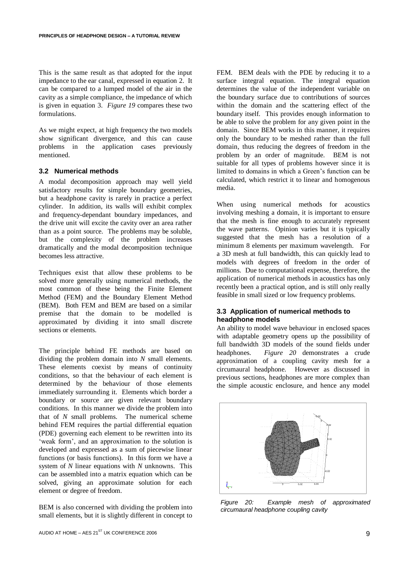This is the same result as that adopted for the input impedance to the ear canal, expressed in equation 2. It can be compared to a lumped model of the air in the cavity as a simple compliance, the impedance of which is given in equation 3. *Figure 19* compares these two formulations.

As we might expect, at high frequency the two models show significant divergence, and this can cause problems in the application cases previously mentioned.

#### **3.2 Numerical methods**

A modal decomposition approach may well yield satisfactory results for simple boundary geometries, but a headphone cavity is rarely in practice a perfect cylinder. In addition, its walls will exhibit complex and frequency-dependant boundary impedances, and the drive unit will excite the cavity over an area rather than as a point source. The problems may be soluble, but the complexity of the problem increases dramatically and the modal decomposition technique becomes less attractive.

Techniques exist that allow these problems to be solved more generally using numerical methods, the most common of these being the Finite Element Method (FEM) and the Boundary Element Method (BEM). Both FEM and BEM are based on a similar premise that the domain to be modelled is approximated by dividing it into small discrete sections or elements.

The principle behind FE methods are based on dividing the problem domain into *N* small elements. These elements coexist by means of continuity conditions, so that the behaviour of each element is determined by the behaviour of those elements immediately surrounding it. Elements which border a boundary or source are given relevant boundary conditions. In this manner we divide the problem into that of *N* small problems. The numerical scheme behind FEM requires the partial differential equation (PDE) governing each element to be rewritten into its 'weak form', and an approximation to the solution is developed and expressed as a sum of piecewise linear functions (or basis functions). In this form we have a system of *N* linear equations with *N* unknowns. This can be assembled into a matrix equation which can be solved, giving an approximate solution for each element or degree of freedom.

BEM is also concerned with dividing the problem into small elements, but it is slightly different in concept to FEM. BEM deals with the PDE by reducing it to a surface integral equation. The integral equation determines the value of the independent variable on the boundary surface due to contributions of sources within the domain and the scattering effect of the boundary itself. This provides enough information to be able to solve the problem for any given point in the domain. Since BEM works in this manner, it requires only the boundary to be meshed rather than the full domain, thus reducing the degrees of freedom in the problem by an order of magnitude. BEM is not suitable for all types of problems however since it is limited to domains in which a Green's function can be calculated, which restrict it to linear and homogenous media.

When using numerical methods for acoustics involving meshing a domain, it is important to ensure that the mesh is fine enough to accurately represent the wave patterns. Opinion varies but it is typically suggested that the mesh has a resolution of a minimum 8 elements per maximum wavelength. For a 3D mesh at full bandwidth, this can quickly lead to models with degrees of freedom in the order of millions. Due to computational expense, therefore, the application of numerical methods in acoustics has only recently been a practical option, and is still only really feasible in small sized or low frequency problems.

# **3.3 Application of numerical methods to headphone models**

An ability to model wave behaviour in enclosed spaces with adaptable geometry opens up the possibility of full bandwidth 3D models of the sound fields under headphones. *Figure 20* demonstrates a crude approximation of a coupling cavity mesh for a circumaural headphone. However as discussed in previous sections, headphones are more complex than the simple acoustic enclosure, and hence any model



*Figure 20: Example mesh of approximated circumaural headphone coupling cavity*